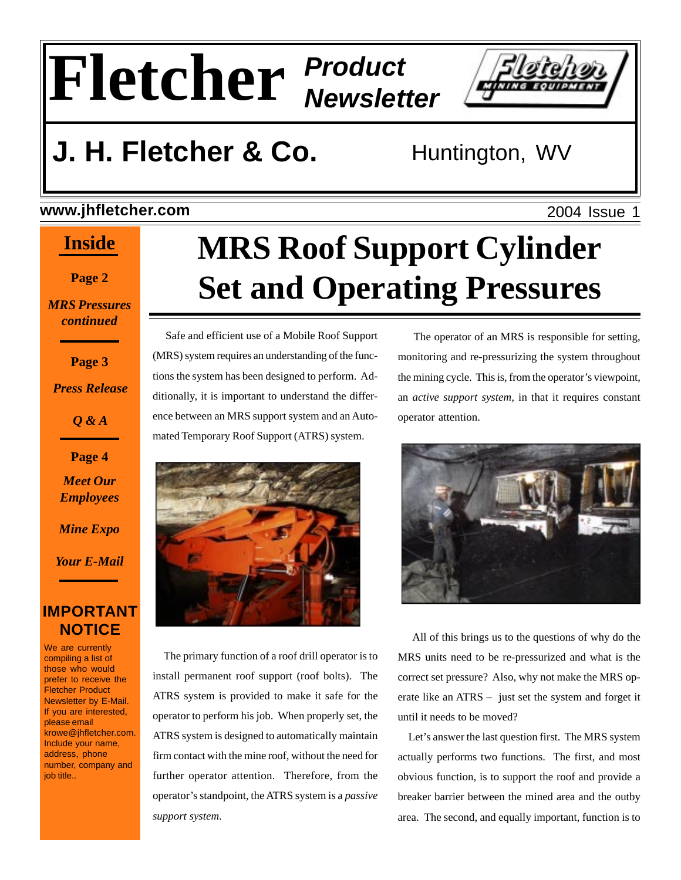# **Fletcher** *Product Newsletter*



## **J. H. Fletcher & Co.** Huntington, WV

#### **www.jhfletcher.com**

#### **Inside**

**Page 2**

*MRS Pressures continued*

**Page 3**

*Press Release*

*Q & A*

**Page 4**

*Meet Our Employees*

*Mine Expo*

*Your E-Mail*

#### **IMPORTANT NOTICE**

We are currently compiling a list of those who would prefer to receive the Fletcher Product Newsletter by E-Mail. If you are interested, please email krowe@jhfletcher.com. Include your name, address, phone number, company and job title..

# **MRS Roof Support Cylinder Set and Operating Pressures**

 Safe and efficient use of a Mobile Roof Support (MRS) system requires an understanding of the functions the system has been designed to perform. Additionally, it is important to understand the difference between an MRS support system and an Automated Temporary Roof Support (ATRS) system.



 The primary function of a roof drill operator is to install permanent roof support (roof bolts). The ATRS system is provided to make it safe for the operator to perform his job. When properly set, the ATRS system is designed to automatically maintain firm contact with the mine roof, without the need for further operator attention. Therefore, from the operator's standpoint, the ATRS system is a *passive support system*.

 The operator of an MRS is responsible for setting, monitoring and re-pressurizing the system throughout the mining cycle. This is, from the operator's viewpoint, an *active support system,* in that it requires constant operator attention.



 All of this brings us to the questions of why do the MRS units need to be re-pressurized and what is the correct set pressure? Also, why not make the MRS operate like an ATRS – just set the system and forget it until it needs to be moved?

 Let's answer the last question first. The MRS system actually performs two functions. The first, and most obvious function, is to support the roof and provide a breaker barrier between the mined area and the outby area. The second, and equally important, function is to

2004 Issue 1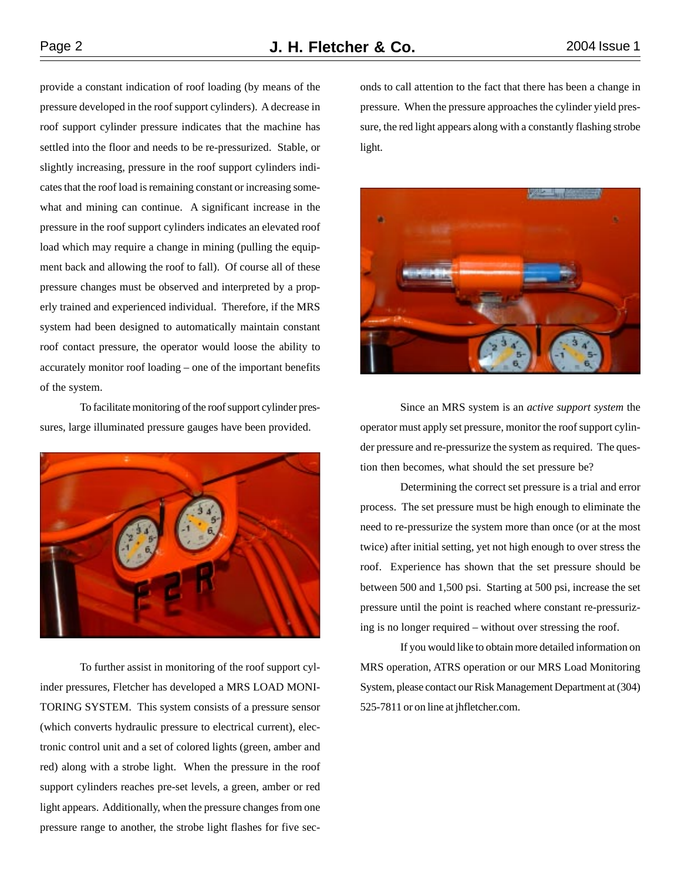provide a constant indication of roof loading (by means of the pressure developed in the roof support cylinders). A decrease in roof support cylinder pressure indicates that the machine has settled into the floor and needs to be re-pressurized. Stable, or slightly increasing, pressure in the roof support cylinders indicates that the roof load is remaining constant or increasing somewhat and mining can continue. A significant increase in the pressure in the roof support cylinders indicates an elevated roof load which may require a change in mining (pulling the equipment back and allowing the roof to fall). Of course all of these pressure changes must be observed and interpreted by a properly trained and experienced individual. Therefore, if the MRS system had been designed to automatically maintain constant roof contact pressure, the operator would loose the ability to accurately monitor roof loading – one of the important benefits of the system.

To facilitate monitoring of the roof support cylinder pressures, large illuminated pressure gauges have been provided.



To further assist in monitoring of the roof support cylinder pressures, Fletcher has developed a MRS LOAD MONI-TORING SYSTEM. This system consists of a pressure sensor (which converts hydraulic pressure to electrical current), electronic control unit and a set of colored lights (green, amber and red) along with a strobe light. When the pressure in the roof support cylinders reaches pre-set levels, a green, amber or red light appears. Additionally, when the pressure changes from one pressure range to another, the strobe light flashes for five seconds to call attention to the fact that there has been a change in pressure. When the pressure approaches the cylinder yield pressure, the red light appears along with a constantly flashing strobe light.



Since an MRS system is an *active support system* the operator must apply set pressure, monitor the roof support cylinder pressure and re-pressurize the system as required. The question then becomes, what should the set pressure be?

Determining the correct set pressure is a trial and error process. The set pressure must be high enough to eliminate the need to re-pressurize the system more than once (or at the most twice) after initial setting, yet not high enough to over stress the roof. Experience has shown that the set pressure should be between 500 and 1,500 psi. Starting at 500 psi, increase the set pressure until the point is reached where constant re-pressurizing is no longer required – without over stressing the roof.

If you would like to obtain more detailed information on MRS operation, ATRS operation or our MRS Load Monitoring System, please contact our Risk Management Department at (304) 525-7811 or on line at jhfletcher.com.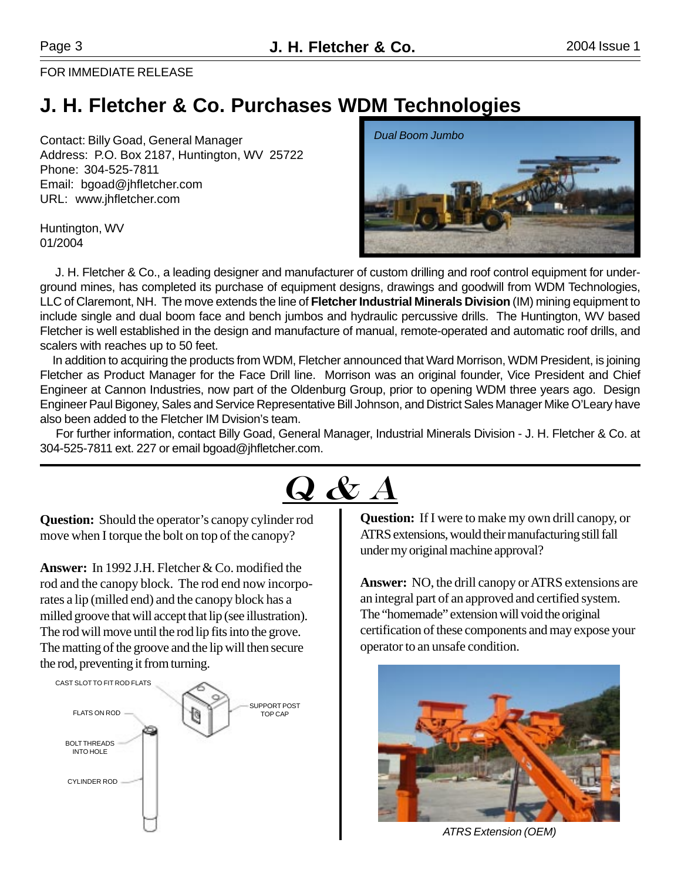FOR IMMEDIATE RELEASE

#### **J. H. Fletcher & Co. Purchases WDM Technologies**

Contact: Billy Goad, General Manager Address: P.O. Box 2187, Huntington, WV 25722 Phone: 304-525-7811 Email: bgoad@jhfletcher.com URL: www.jhfletcher.com

Huntington, WV 01/2004



 J. H. Fletcher & Co., a leading designer and manufacturer of custom drilling and roof control equipment for underground mines, has completed its purchase of equipment designs, drawings and goodwill from WDM Technologies, LLC of Claremont, NH. The move extends the line of **Fletcher Industrial Minerals Division** (IM) mining equipment to include single and dual boom face and bench jumbos and hydraulic percussive drills. The Huntington, WV based Fletcher is well established in the design and manufacture of manual, remote-operated and automatic roof drills, and scalers with reaches up to 50 feet.

 In addition to acquiring the products from WDM, Fletcher announced that Ward Morrison, WDM President, is joining Fletcher as Product Manager for the Face Drill line. Morrison was an original founder, Vice President and Chief Engineer at Cannon Industries, now part of the Oldenburg Group, prior to opening WDM three years ago. Design Engineer Paul Bigoney, Sales and Service Representative Bill Johnson, and District Sales Manager Mike O'Leary have also been added to the Fletcher IM Dvision's team.

 For further information, contact Billy Goad, General Manager, Industrial Minerals Division - J. H. Fletcher & Co. at 304-525-7811 ext. 227 or email bgoad@jhfletcher.com.



**Question:** Should the operator's canopy cylinder rod move when I torque the bolt on top of the canopy?

**Answer:** In 1992 J.H. Fletcher & Co. modified the rod and the canopy block. The rod end now incorporates a lip (milled end) and the canopy block has a milled groove that will accept that lip (see illustration). The rod will move until the rod lip fits into the grove. The matting of the groove and the lip will then secure the rod, preventing it from turning.



**Question:** If I were to make my own drill canopy, or ATRS extensions, would their manufacturing still fall under my original machine approval?

**Answer:** NO, the drill canopy or ATRS extensions are an integral part of an approved and certified system. The "homemade" extension will void the original certification of these components and may expose your operator to an unsafe condition.



*ATRS Extension (OEM)*